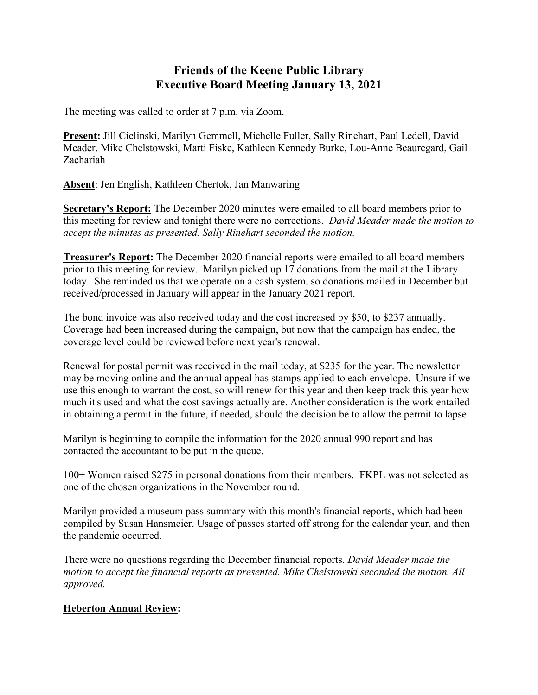## **Friends of the Keene Public Library Executive Board Meeting January 13, 2021**

The meeting was called to order at 7 p.m. via Zoom.

**Present:** Jill Cielinski, Marilyn Gemmell, Michelle Fuller, Sally Rinehart, Paul Ledell, David Meader, Mike Chelstowski, Marti Fiske, Kathleen Kennedy Burke, Lou-Anne Beauregard, Gail Zachariah

**Absent**: Jen English, Kathleen Chertok, Jan Manwaring

**Secretary's Report:** The December 2020 minutes were emailed to all board members prior to this meeting for review and tonight there were no corrections. *David Meader made the motion to accept the minutes as presented. Sally Rinehart seconded the motion.*

**Treasurer's Report:** The December 2020 financial reports were emailed to all board members prior to this meeting for review. Marilyn picked up 17 donations from the mail at the Library today. She reminded us that we operate on a cash system, so donations mailed in December but received/processed in January will appear in the January 2021 report.

The bond invoice was also received today and the cost increased by \$50, to \$237 annually. Coverage had been increased during the campaign, but now that the campaign has ended, the coverage level could be reviewed before next year's renewal.

Renewal for postal permit was received in the mail today, at \$235 for the year. The newsletter may be moving online and the annual appeal has stamps applied to each envelope. Unsure if we use this enough to warrant the cost, so will renew for this year and then keep track this year how much it's used and what the cost savings actually are. Another consideration is the work entailed in obtaining a permit in the future, if needed, should the decision be to allow the permit to lapse.

Marilyn is beginning to compile the information for the 2020 annual 990 report and has contacted the accountant to be put in the queue.

100+ Women raised \$275 in personal donations from their members. FKPL was not selected as one of the chosen organizations in the November round.

Marilyn provided a museum pass summary with this month's financial reports, which had been compiled by Susan Hansmeier. Usage of passes started off strong for the calendar year, and then the pandemic occurred.

There were no questions regarding the December financial reports. *David Meader made the motion to accept the financial reports as presented. Mike Chelstowski seconded the motion. All approved.*

## **Heberton Annual Review:**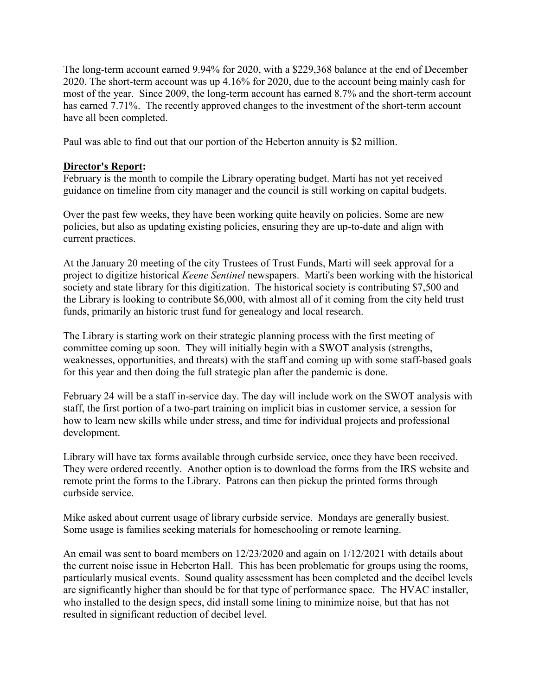The long-term account earned 9.94% for 2020, with a \$229,368 balance at the end of December 2020. The short-term account was up 4.16% for 2020, due to the account being mainly cash for most of the year. Since 2009, the long-term account has earned 8.7% and the short-term account has earned 7.71%. The recently approved changes to the investment of the short-term account have all been completed.

Paul was able to find out that our portion of the Heberton annuity is \$2 million.

## **Director's Report:**

February is the month to compile the Library operating budget. Marti has not yet received guidance on timeline from city manager and the council is still working on capital budgets.

Over the past few weeks, they have been working quite heavily on policies. Some are new policies, but also as updating existing policies, ensuring they are up-to-date and align with current practices.

At the January 20 meeting of the city Trustees of Trust Funds, Marti will seek approval for a project to digitize historical *Keene Sentinel* newspapers. Marti's been working with the historical society and state library for this digitization. The historical society is contributing \$7,500 and the Library is looking to contribute \$6,000, with almost all of it coming from the city held trust funds, primarily an historic trust fund for genealogy and local research.

The Library is starting work on their strategic planning process with the first meeting of committee coming up soon. They will initially begin with a SWOT analysis (strengths, weaknesses, opportunities, and threats) with the staff and coming up with some staff-based goals for this year and then doing the full strategic plan after the pandemic is done.

February 24 will be a staff in-service day. The day will include work on the SWOT analysis with staff, the first portion of a two-part training on implicit bias in customer service, a session for how to learn new skills while under stress, and time for individual projects and professional development.

Library will have tax forms available through curbside service, once they have been received. They were ordered recently. Another option is to download the forms from the IRS website and remote print the forms to the Library. Patrons can then pickup the printed forms through curbside service.

Mike asked about current usage of library curbside service. Mondays are generally busiest. Some usage is families seeking materials for homeschooling or remote learning.

An email was sent to board members on 12/23/2020 and again on 1/12/2021 with details about the current noise issue in Heberton Hall. This has been problematic for groups using the rooms, particularly musical events. Sound quality assessment has been completed and the decibel levels are significantly higher than should be for that type of performance space. The HVAC installer, who installed to the design specs, did install some lining to minimize noise, but that has not resulted in significant reduction of decibel level.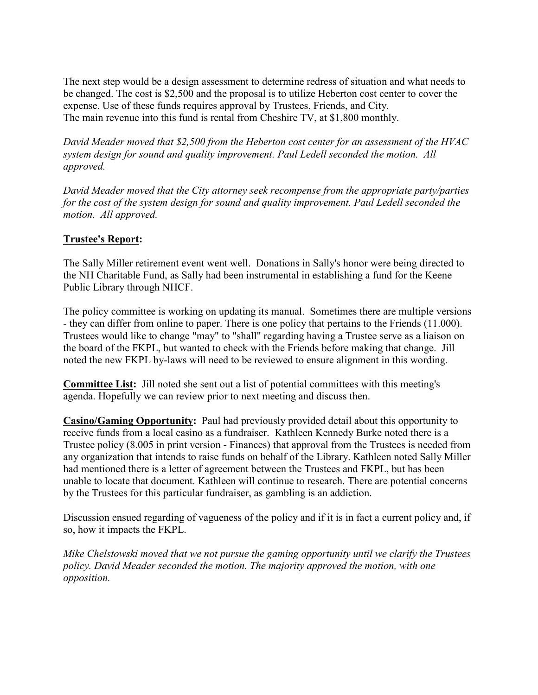The next step would be a design assessment to determine redress of situation and what needs to be changed. The cost is \$2,500 and the proposal is to utilize Heberton cost center to cover the expense. Use of these funds requires approval by Trustees, Friends, and City. The main revenue into this fund is rental from Cheshire TV, at \$1,800 monthly.

*David Meader moved that \$2,500 from the Heberton cost center for an assessment of the HVAC system design for sound and quality improvement. Paul Ledell seconded the motion. All approved.*

*David Meader moved that the City attorney seek recompense from the appropriate party/parties for the cost of the system design for sound and quality improvement. Paul Ledell seconded the motion. All approved.*

## **Trustee's Report:**

The Sally Miller retirement event went well. Donations in Sally's honor were being directed to the NH Charitable Fund, as Sally had been instrumental in establishing a fund for the Keene Public Library through NHCF.

The policy committee is working on updating its manual. Sometimes there are multiple versions - they can differ from online to paper. There is one policy that pertains to the Friends (11.000). Trustees would like to change "may" to "shall" regarding having a Trustee serve as a liaison on the board of the FKPL, but wanted to check with the Friends before making that change. Jill noted the new FKPL by-laws will need to be reviewed to ensure alignment in this wording.

**Committee List:** Jill noted she sent out a list of potential committees with this meeting's agenda. Hopefully we can review prior to next meeting and discuss then.

**Casino/Gaming Opportunity:** Paul had previously provided detail about this opportunity to receive funds from a local casino as a fundraiser. Kathleen Kennedy Burke noted there is a Trustee policy (8.005 in print version - Finances) that approval from the Trustees is needed from any organization that intends to raise funds on behalf of the Library. Kathleen noted Sally Miller had mentioned there is a letter of agreement between the Trustees and FKPL, but has been unable to locate that document. Kathleen will continue to research. There are potential concerns by the Trustees for this particular fundraiser, as gambling is an addiction.

Discussion ensued regarding of vagueness of the policy and if it is in fact a current policy and, if so, how it impacts the FKPL.

*Mike Chelstowski moved that we not pursue the gaming opportunity until we clarify the Trustees policy. David Meader seconded the motion. The majority approved the motion, with one opposition.*